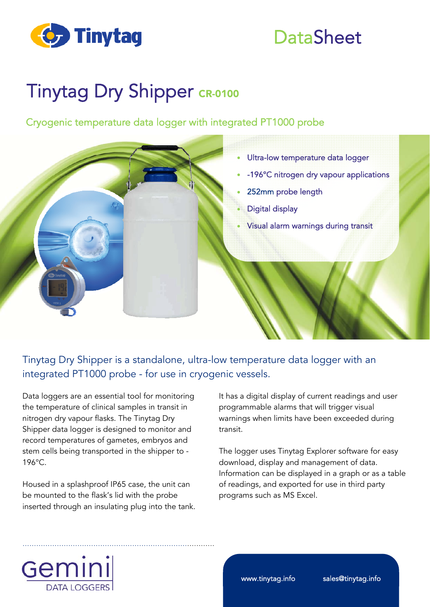

### **DataSheet**

## Tinytag Dry Shipper CR-0100

Cryogenic temperature data logger with integrated PT1000 probe



### Tinytag Dry Shipper is a standalone, ultra-low temperature data logger with an integrated PT1000 probe - for use in cryogenic vessels.

Data loggers are an essential tool for monitoring the temperature of clinical samples in transit in nitrogen dry vapour flasks. The Tinytag Dry Shipper data logger is designed to monitor and record temperatures of gametes, embryos and stem cells being transported in the shipper to - 196°C.

Housed in a splashproof IP65 case, the unit can be mounted to the flask's lid with the probe inserted through an insulating plug into the tank.

…………………………………………………………………………

It has a digital display of current readings and user programmable alarms that will trigger visual warnings when limits have been exceeded during transit.

The logger uses Tinytag Explorer software for easy download, display and management of data. Information can be displayed in a graph or as a table of readings, and exported for use in third party programs such as MS Excel.



www.tinytag.info sales@tinytag.info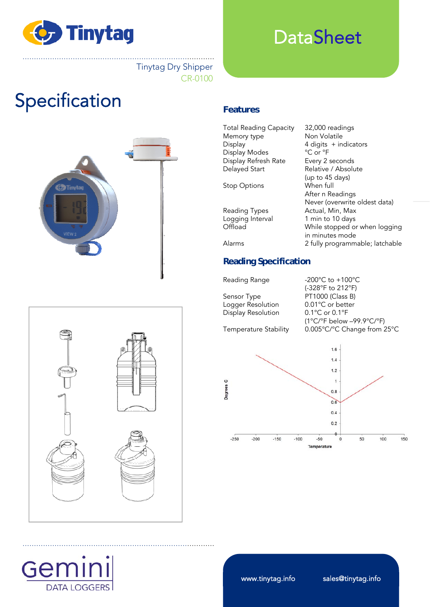

### **DataSheet**

………………………………………………………………………… Tinytag Dry Shipper CR-0100

## **Specification Features**



…………………………………………………………………………

Total Reading Capacity 32,000 readings Memory type Non Volatile Display 4 digits + indicators Display Modes <sup>°</sup>C or °F Display Refresh Rate Every 2 seconds<br>
Delayed Start Relative / Absolu Relative / Absolute (up to 45 days) Stop Options When full After n Readings Never (overwrite oldest data) Reading Types Actual, Min, Max Logging Interval 1 min to 10 days<br>
Offload Mhile stopped of While stopped or when logging in minutes mode Alarms 2 fully programmable; latchable **Reading Specification** 

Sensor Type PT1000 (Class B) Logger Resolution 0.01°C or better<br>Display Resolution 0.1°C or 0.1°F Display Resolution

Reading Range -200°C to +100°C (-328°F to 212°F) (1°C/°F below –99.9°C/°F) Temperature Stability 0.005°C/°C Change from 25°C





www.tinytag.info sales@tinytag.info